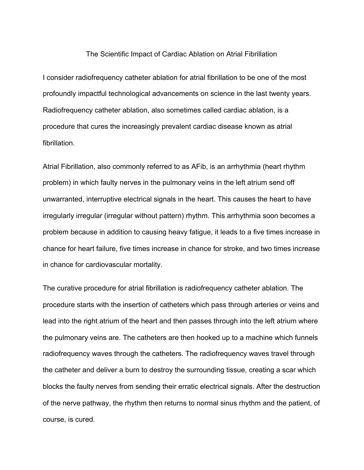## The Scientific Impact of Cardiac Ablation on Atrial Fibrillation

I consider radiofrequency catheter ablation for atrial fibrillation to be one of the most profoundly impactful technological advancements on science in the last twenty years. Radiofrequency catheter ablation, also sometimes called cardiac ablation, is a procedure that cures the increasingly prevalent cardiac disease known as atrial fibrillation.

Atrial Fibrillation, also commonly referred to as AFib, is an arrhythmia (heart rhythm problem) in which faulty nerves in the pulmonary veins in the left atrium send off unwarranted, interruptive electrical signals in the heart. This causes the heart to have irregularly irregular (irregular without pattern) rhythm. This arrhythmia soon becomes a problem because in addition to causing heavy fatigue, it leads to a five times increase in chance for heart failure, five times increase in chance for stroke, and two times increase in chance for cardiovascular mortality.

The curative procedure for atrial fibrillation is radiofrequency catheter ablation. The procedure starts with the insertion of catheters which pass through arteries or veins and lead into the right atrium of the heart and then passes through into the left atrium where the pulmonary veins are. The catheters are then hooked up to a machine which funnels radiofrequency waves through the catheters. The radiofrequency waves travel through the catheter and deliver a burn to destroy the surrounding tissue, creating a scar which blocks the faulty nerves from sending their erratic electrical signals. After the destruction of the nerve pathway, the rhythm then returns to normal sinus rhythm and the patient, of course, is cured.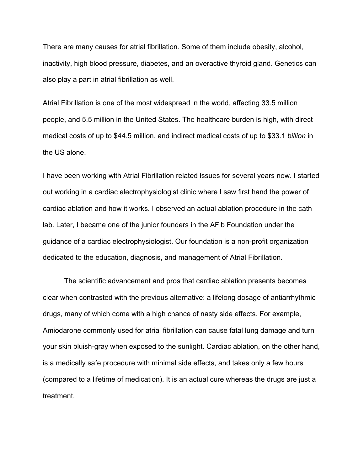There are many causes for atrial fibrillation. Some of them include obesity, alcohol, inactivity, high blood pressure, diabetes, and an overactive thyroid gland. Genetics can also play a part in atrial fibrillation as well.

Atrial Fibrillation is one of the most widespread in the world, affecting 33.5 million people, and 5.5 million in the United States. The healthcare burden is high, with direct medical costs of up to \$44.5 million, and indirect medical costs of up to \$33.1 *billion* in the US alone.

I have been working with Atrial Fibrillation related issues for several years now. I started out working in a cardiac electrophysiologist clinic where I saw first hand the power of cardiac ablation and how it works. I observed an actual ablation procedure in the cath lab. Later, I became one of the junior founders in the AFib Foundation under the guidance of a cardiac electrophysiologist. Our foundation is a non-profit organization dedicated to the education, diagnosis, and management of Atrial Fibrillation.

The scientific advancement and pros that cardiac ablation presents becomes clear when contrasted with the previous alternative: a lifelong dosage of antiarrhythmic drugs, many of which come with a high chance of nasty side effects. For example, Amiodarone commonly used for atrial fibrillation can cause fatal lung damage and turn your skin bluish-gray when exposed to the sunlight. Cardiac ablation, on the other hand, is a medically safe procedure with minimal side effects, and takes only a few hours (compared to a lifetime of medication). It is an actual cure whereas the drugs are just a treatment.